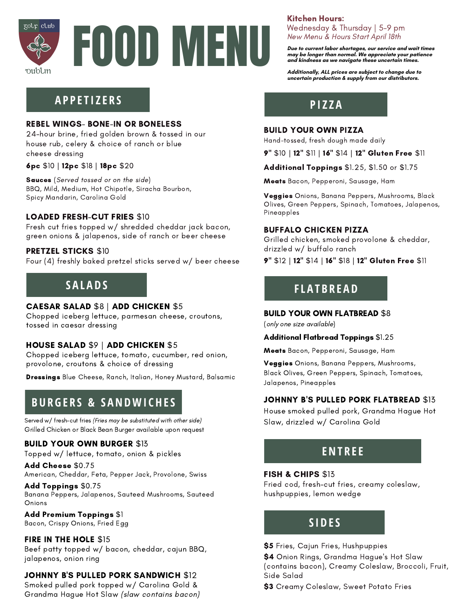



## **A P P E T I Z E R S**

#### REBEL WINGS- BONE-IN OR BONELESS

24-hour brine, fried golden brown & tossed in our house rub, celery & choice of ranch or blue cheese dressing

6pc \$10 | 12pc \$18 | 18pc \$20

Sauces (Served tossed or on the side) BBQ, Mild, Medium, Hot Chipotle, Siracha Bourbon, Spicy Mandarin, Carolina Gold

### LOADED FRESH-CUT FRIES \$10

Fresh cut fries topped w/ shredded cheddar jack bacon, green onions & jalapenos, side of ranch or beer cheese

### PRETZEL STICKS \$10

Four (4) freshly baked pretzel sticks served w/ beer cheese

## **S A L A D S**

### CAESAR SALAD \$8 | ADD CHICKEN \$5

Chopped iceberg lettuce, parmesan cheese, croutons, tossed in caesar dressing

### HOUSE SALAD \$9 | ADD CHICKEN \$5

Chopped iceberg lettuce, tomato, cucumber, red onion, provolone, croutons & choice of dressing

Dressings Blue Cheese, Ranch, Italian, Honey Mustard, Balsamic

# **B UR G E R S & S ANDWI CHE S**

Served w/ fresh-cut fries (Fries may be substituted with other side) Grilled Chicken or Black Bean Burger available upon request

#### **BUILD YOUR OWN BURGER \$13**

Topped w/ lettuce, tomato, onion & pickles

Add Cheese \$0.75 American, Cheddar, Feta, Pepper Jack, Provolone, Swiss

Add Toppings \$0.75 Banana Peppers, Jalapenos, Sauteed Mushrooms, Sauteed Onions

Add Premium Toppings \$1

Bacon, Crispy Onions, Fried Egg

### FIRE IN THE HOLE \$15

Beef patty topped w/ bacon, cheddar, cajun BBQ, jalapenos, onion ring

### JOHNNY B'S PULLED PORK SANDWICH \$12

Smoked pulled pork topped w/ Carolina Gold & Grandma Hague Hot Slaw (slaw contains bacon)

## Kitchen Hours:

Wednesday & Thursday | 5-9 pm New Menu & Hours Start April 18th

**Due to current labor shortages, our service and wait times may be longer than normal. We appreciate your patience and kindness as we navigate these uncertain times.**

**Additionally, ALL prices are subject to change due to uncertain production & supply from our distributors.**

**P I Z Z A**

#### BUILD YOUR OWN PIZZA

Hand-tossed, fresh dough made daily

9" \$10 | 12" \$11 | 16" \$14 | 12" Gluten Free \$11

Additional Toppings \$1.25, \$1.50 or \$1.75

Meats Bacon, Pepperoni, Sausage, Ham

Veggies Onions, Banana Peppers, Mushrooms, Black Olives, Green Peppers, Spinach, Tomatoes, Jalapenos, Pineapples

### BUFFALO CHICKEN PIZZA

Grilled chicken, smoked provolone & cheddar, drizzled w/ buffalo ranch

9" \$12 | 12" \$14 | 16" \$18 | 12" Gluten Free \$11

# **F L A T B R E A D**

#### BUILD YOUR OWN FLATBREAD \$8

(only one size available)

#### Additional Flatbread Toppings \$1.25

Meats Bacon, Pepperoni, Sausage, Ham

Veggies Onions, Banana Peppers, Mushrooms, Black Olives, Green Peppers, Spinach, Tomatoes, Jalapenos, Pineapples

### JOHNNY B'S PULLED PORK FLATBREAD \$13

House smoked pulled pork, Grandma Hague Hot Slaw, drizzled w/ Carolina Gold

# **ENT R E E**

#### FISH & CHIPS \$13

Fried cod, fresh-cut fries, creamy coleslaw, hushpuppies, lemon wedge

# **S I D E S**

#### \$5 Fries, Cajun Fries, Hushpuppies

\$4 Onion Rings, Grandma Hague's Hot Slaw (contains bacon), Creamy Coleslaw, Broccoli, Fruit, Side Salad

\$3 Creamy Coleslaw, Sweet Potato Fries